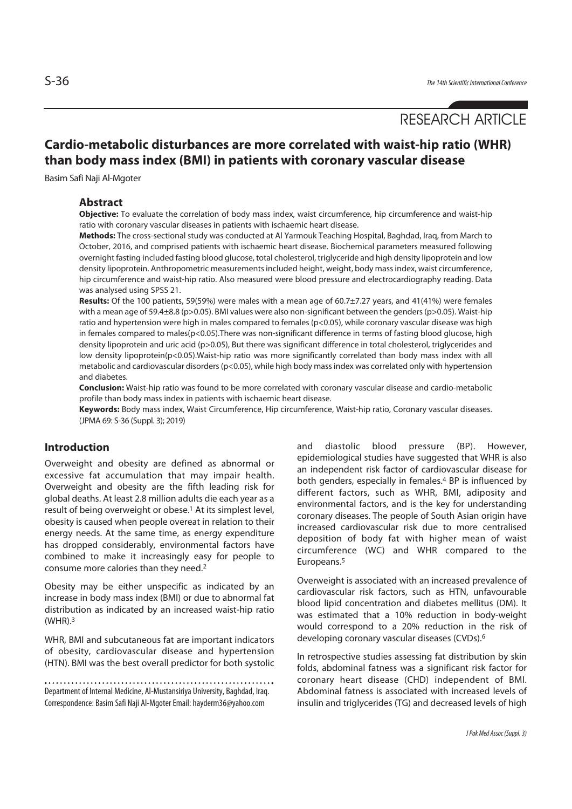# RESEARCH ARTICLE

# **Cardio-metabolic disturbances are more correlated with waist-hip ratio (WHR) than body mass index (BMI) in patients with coronary vascular disease**

Basim Safi Naji Al-Mgoter

#### **Abstract**

**Objective:** To evaluate the correlation of body mass index, waist circumference, hip circumference and waist-hip ratio with coronary vascular diseases in patients with ischaemic heart disease.

**Methods:** The cross-sectional study was conducted at Al Yarmouk Teaching Hospital, Baghdad, Iraq, from March to October, 2016, and comprised patients with ischaemic heart disease. Biochemical parameters measured following overnight fasting included fasting blood glucose, total cholesterol, triglyceride and high density lipoprotein and low density lipoprotein. Anthropometric measurements included height, weight, body mass index, waist circumference, hip circumference and waist-hip ratio. Also measured were blood pressure and electrocardiography reading. Data was analysed using SPSS 21.

**Results:** Of the 100 patients, 59(59%) were males with a mean age of 60.7±7.27 years, and 41(41%) were females with a mean age of 59.4±8.8 (p>0.05). BMI values were also non-significant between the genders (p>0.05). Waist-hip ratio and hypertension were high in males compared to females (p<0.05), while coronary vascular disease was high in females compared to males(p<0.05).There was non-significant difference in terms of fasting blood glucose, high density lipoprotein and uric acid (p>0.05), But there was significant difference in total cholesterol, triglycerides and low density lipoprotein(p<0.05).Waist-hip ratio was more significantly correlated than body mass index with all metabolic and cardiovascular disorders (p<0.05), while high body mass index was correlated only with hypertension and diabetes.

**Conclusion:** Waist-hip ratio was found to be more correlated with coronary vascular disease and cardio-metabolic profile than body mass index in patients with ischaemic heart disease.

**Keywords:** Body mass index, Waist Circumference, Hip circumference, Waist-hip ratio, Coronary vascular diseases. (JPMA 69: S-36 (Suppl. 3); 2019)

# **Introduction**

Overweight and obesity are defined as abnormal or excessive fat accumulation that may impair health. Overweight and obesity are the fifth leading risk for global deaths. At least 2.8 million adults die each year as a result of being overweight or obese.1 At its simplest level, obesity is caused when people overeat in relation to their energy needs. At the same time, as energy expenditure has dropped considerably, environmental factors have combined to make it increasingly easy for people to consume more calories than they need.2

Obesity may be either unspecific as indicated by an increase in body mass index (BMI) or due to abnormal fat distribution as indicated by an increased waist-hip ratio (WHR).3

WHR, BMI and subcutaneous fat are important indicators of obesity, cardiovascular disease and hypertension (HTN). BMI was the best overall predictor for both systolic and diastolic blood pressure (BP). However, epidemiological studies have suggested that WHR is also an independent risk factor of cardiovascular disease for both genders, especially in females.4 BP is influenced by different factors, such as WHR, BMI, adiposity and environmental factors, and is the key for understanding coronary diseases. The people of South Asian origin have increased cardiovascular risk due to more centralised deposition of body fat with higher mean of waist circumference (WC) and WHR compared to the Europeans.5

Overweight is associated with an increased prevalence of cardiovascular risk factors, such as HTN, unfavourable blood lipid concentration and diabetes mellitus (DM). It was estimated that a 10% reduction in body-weight would correspond to a 20% reduction in the risk of developing coronary vascular diseases (CVDs).6

In retrospective studies assessing fat distribution by skin folds, abdominal fatness was a significant risk factor for coronary heart disease (CHD) independent of BMI. Abdominal fatness is associated with increased levels of insulin and triglycerides (TG) and decreased levels of high

Department of Internal Medicine, Al-Mustansiriya University, Baghdad, Iraq. Correspondence: Basim Safi Naji Al-Mgoter Email: hayderm36@yahoo.com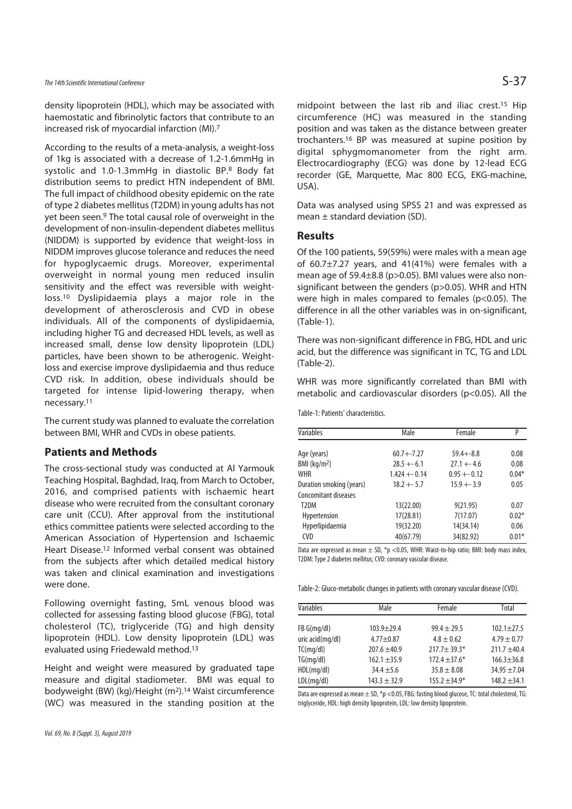The 14th Scientific International Conference  $S-37$ 

density lipoprotein (HDL), which may be associated with haemostatic and fibrinolytic factors that contribute to an increased risk of myocardial infarction (MI).7

According to the results of a meta-analysis, a weight-loss of 1kg is associated with a decrease of 1.2-1.6mmHg in systolic and 1.0-1.3mmHg in diastolic BP.8 Body fat distribution seems to predict HTN independent of BMI. The full impact of childhood obesity epidemic on the rate of type 2 diabetes mellitus (T2DM) in young adults has not yet been seen.9 The total causal role of overweight in the development of non-insulin-dependent diabetes mellitus (NIDDM) is supported by evidence that weight-loss in NIDDM improves glucose tolerance and reduces the need for hypoglycaemic drugs. Moreover, experimental overweight in normal young men reduced insulin sensitivity and the effect was reversible with weightloss.10 Dyslipidaemia plays a major role in the development of atherosclerosis and CVD in obese individuals. All of the components of dyslipidaemia, including higher TG and decreased HDL levels, as well as increased small, dense low density lipoprotein (LDL) particles, have been shown to be atherogenic. Weightloss and exercise improve dyslipidaemia and thus reduce CVD risk. In addition, obese individuals should be targeted for intense lipid-lowering therapy, when necessary.11

The current study was planned to evaluate the correlation between BMI, WHR and CVDs in obese patients.

# **Patients and Methods**

The cross-sectional study was conducted at Al Yarmouk Teaching Hospital, Baghdad, Iraq, from March to October, 2016, and comprised patients with ischaemic heart disease who were recruited from the consultant coronary care unit (CCU). After approval from the institutional ethics committee patients were selected according to the American Association of Hypertension and Ischaemic Heart Disease.12 Informed verbal consent was obtained from the subjects after which detailed medical history was taken and clinical examination and investigations were done.

Following overnight fasting, 5mL venous blood was collected for assessing fasting blood glucose (FBG), total cholesterol (TC), triglyceride (TG) and high density lipoprotein (HDL). Low density lipoprotein (LDL) was evaluated using Friedewald method.13

Height and weight were measured by graduated tape measure and digital stadiometer. BMI was equal to bodyweight (BW) (kg)/Height (m2).14 Waist circumference (WC) was measured in the standing position at the midpoint between the last rib and iliac crest.15 Hip circumference (HC) was measured in the standing position and was taken as the distance between greater trochanters.16 BP was measured at supine position by digital sphygmomanometer from the right arm. Electrocardiography (ECG) was done by 12-lead ECG recorder (GE, Marquette, Mac 800 ECG, EKG-machine, USA).

Data was analysed using SPSS 21 and was expressed as mean  $\pm$  standard deviation (SD).

#### **Results**

Of the 100 patients, 59(59%) were males with a mean age of 60.7±7.27 years, and 41(41%) were females with a mean age of 59.4±8.8 (p>0.05). BMI values were also nonsignificant between the genders (p>0.05). WHR and HTN were high in males compared to females (p<0.05). The difference in all the other variables was in on-significant, (Table-1).

There was non-significant difference in FBG, HDL and uric acid, but the difference was significant in TC, TG and LDL (Table-2).

WHR was more significantly correlated than BMI with metabolic and cardiovascular disorders (p<0.05). All the

Table-1: Patients' characteristics.

| Variables                | Male           | Female         | P       |
|--------------------------|----------------|----------------|---------|
|                          | $60.7 + -7.27$ | $59.4 + -8.8$  | 0.08    |
| Age (years)              |                |                |         |
| BMI ( $kg/m2$ )          | $28.5 + -6.1$  | $27.1 + -4.6$  | 0.08    |
| <b>WHR</b>               | $1.424 + 0.14$ | $0.95 + 0.12$  | $0.04*$ |
| Duration smoking (years) | $18.2 + 5.7$   | $15.9 + - 3.9$ | 0.05    |
| Concomitant diseases     |                |                |         |
| T <sub>2</sub> DM        | 13(22.00)      | 9(21.95)       | 0.07    |
| Hypertension             | 17(28.81)      | 7(17.07)       | $0.02*$ |
| Hyperlipidaemia          | 19(32.20)      | 14(34.14)      | 0.06    |
| <b>CVD</b>               | 40(67.79)      | 34(82.92)      | $0.01*$ |

Data are expressed as mean  $\pm$  SD, \*p <0.05, WHR: Waist-to-hip ratio; BMI: body mass index, T2DM: Type 2 diabetes mellitus; CVD: coronary vascular disease.

Table-2: Gluco-metabolic changes in patients with coronary vascular disease (CVD).

| Variables        | Male             | Female            | Total            |
|------------------|------------------|-------------------|------------------|
| FB G(mq/dl)      | $103.9 + 29.4$   | $99.4 \pm 29.5$   | $102.1 + 27.5$   |
| uric acid(mg/dl) | $4.77 + 0.87$    | $4.8 \pm 0.62$    | $4.79 \pm 0.77$  |
| TC(mq/dl)        | $207.6 + 40.9$   | $217.7 \pm 39.3*$ | $211.7 + 40.4$   |
| TG(mq/dl)        | $162.1 + 35.9$   | $172.4 \pm 37.6*$ | $166.3 \pm 36.8$ |
| HDL(mq/dl)       | $34.4 + 5.6$     | $35.8 \pm 8.08$   | $34.95 + 7.04$   |
| LDL(mq/dl)       | $143.3 \pm 32.9$ | $155.2 \pm 34.9*$ | $148.2 + 34.1$   |

Data are expressed as mean  $\pm$  SD, \*p <0.05, FBG: fasting blood glucose, TC: total cholesterol, TG: triglyceride, HDL: high density lipoprotein, LDL: low density lipoprotein.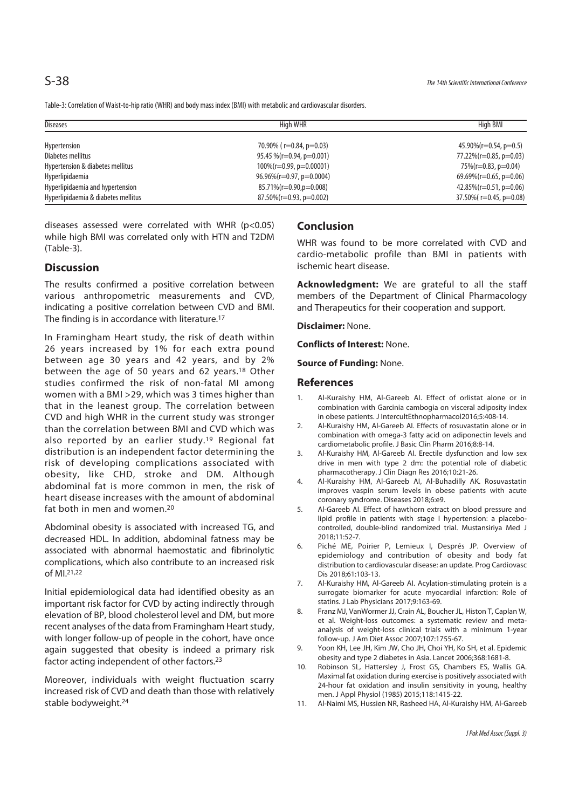Table-3: Correlation of Waist-to-hip ratio (WHR) and body mass index (BMI) with metabolic and cardiovascular disorders.

| <b>Diseases</b>                     | High WHR                         | High BMI                      |
|-------------------------------------|----------------------------------|-------------------------------|
|                                     |                                  |                               |
| Hypertension                        | 70.90% ( $r=0.84$ , $p=0.03$ )   | 45.90%(r=0.54, p=0.5)         |
| Diabetes mellitus                   | 95.45 % ( $r=0.94$ , $p=0.001$ ) | 77.22%( $r=0.85$ , $p=0.03$ ) |
| Hypertension & diabetes mellitus    | $100\%$ (r=0.99, p=0.00001)      | $75\%$ (r=0.83, p=0.04)       |
| Hyperlipidaemia                     | $96.96\%$ (r=0.97, p=0.0004)     | 69.69%( $r=0.65$ , $p=0.06$ ) |
| Hyperlipidaemia and hypertension    | $85.71\%$ (r=0.90,p=0.008)       | 42.85%( $r=0.51$ , $p=0.06$ ) |
| Hyperlipidaemia & diabetes mellitus | $87.50\%$ (r=0.93, p=0.002)      | 37.50% $r=0.45$ , $p=0.08$    |

diseases assessed were correlated with WHR ( $p$ <0.05) while high BMI was correlated only with HTN and T2DM (Table-3).

# **Discussion**

The results confirmed a positive correlation between various anthropometric measurements and CVD, indicating a positive correlation between CVD and BMI. The finding is in accordance with literature.17

In Framingham Heart study, the risk of death within 26 years increased by 1% for each extra pound between age 30 years and 42 years, and by 2% between the age of 50 years and 62 years.18 Other studies confirmed the risk of non-fatal MI among women with a BMI >29, which was 3 times higher than that in the leanest group. The correlation between CVD and high WHR in the current study was stronger than the correlation between BMI and CVD which was also reported by an earlier study.19 Regional fat distribution is an independent factor determining the risk of developing complications associated with obesity, like CHD, stroke and DM. Although abdominal fat is more common in men, the risk of heart disease increases with the amount of abdominal fat both in men and women.20

Abdominal obesity is associated with increased TG, and decreased HDL. In addition, abdominal fatness may be associated with abnormal haemostatic and fibrinolytic complications, which also contribute to an increased risk of MI.21,22

Initial epidemiological data had identified obesity as an important risk factor for CVD by acting indirectly through elevation of BP, blood cholesterol level and DM, but more recent analyses of the data from Framingham Heart study, with longer follow-up of people in the cohort, have once again suggested that obesity is indeed a primary risk factor acting independent of other factors.23

Moreover, individuals with weight fluctuation scarry increased risk of CVD and death than those with relatively stable bodyweight.24

# **Conclusion**

WHR was found to be more correlated with CVD and cardio-metabolic profile than BMI in patients with ischemic heart disease.

**Acknowledgment:** We are grateful to all the staff members of the Department of Clinical Pharmacology and Therapeutics for their cooperation and support.

**Disclaimer:** None.

**Conflicts of Interest:** None.

**Source of Funding:** None.

#### **References**

- 1. Al-Kuraishy HM, Al-Gareeb AI. Effect of orlistat alone or in combination with Garcinia cambogia on visceral adiposity index in obese patients. J IntercultEthnopharmacol2016;5:408-14.
- 2. Al-Kuraishy HM, Al-Gareeb AI. Effects of rosuvastatin alone or in combination with omega-3 fatty acid on adiponectin levels and cardiometabolic profile. J Basic Clin Pharm 2016;8:8-14.
- 3. Al-Kuraishy HM, Al-Gareeb AI. Erectile dysfunction and low sex drive in men with type 2 dm: the potential role of diabetic pharmacotherapy. J Clin Diagn Res 2016;10:21-26.
- 4. Al-Kuraishy HM, Al-Gareeb AI, Al-Buhadilly AK. Rosuvastatin improves vaspin serum levels in obese patients with acute coronary syndrome. Diseases 2018;6:e9.
- 5. Al-Gareeb AI. Effect of hawthorn extract on blood pressure and lipid profile in patients with stage I hypertension: a placebocontrolled, double-blind randomized trial. Mustansiriya Med J 2018;11:52-7.
- 6. Piché ME, Poirier P, Lemieux I, Després JP. Overview of epidemiology and contribution of obesity and body fat distribution to cardiovascular disease: an update. Prog Cardiovasc Dis 2018;61:103-13.
- 7. Al-Kuraishy HM, Al-Gareeb AI. Acylation-stimulating protein is a surrogate biomarker for acute myocardial infarction: Role of statins. J Lab Physicians 2017;9:163-69.
- 8. Franz MJ, VanWormer JJ, Crain AL, Boucher JL, Histon T, Caplan W, et al. Weight-loss outcomes: a systematic review and metaanalysis of weight-loss clinical trials with a minimum 1-year follow-up. J Am Diet Assoc 2007;107:1755-67.
- 9. Yoon KH, Lee JH, Kim JW, Cho JH, Choi YH, Ko SH, et al. Epidemic obesity and type 2 diabetes in Asia. Lancet 2006;368:1681-8.
- 10. Robinson SL, Hattersley J, Frost GS, Chambers ES, Wallis GA. Maximal fat oxidation during exercise is positively associated with 24-hour fat oxidation and insulin sensitivity in young, healthy men. J Appl Physiol (1985) 2015;118:1415-22.
- 11. Al-Naimi MS, Hussien NR, Rasheed HA, Al-Kuraishy HM, Al-Gareeb